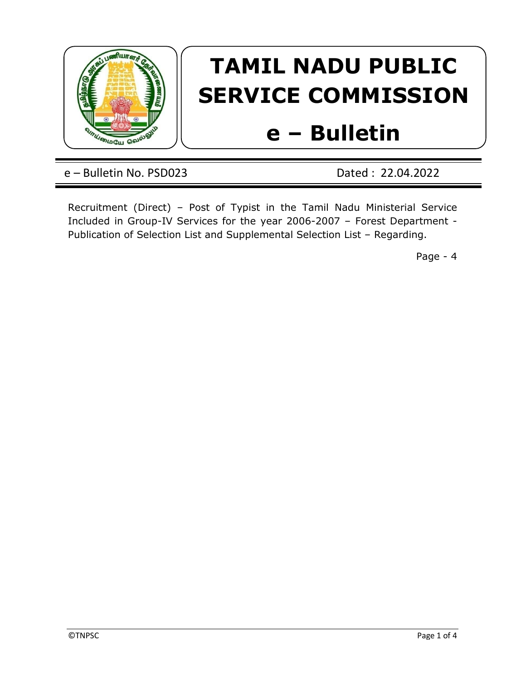

## TAMIL NADU PUBLIC SERVICE COMMISSION

## e – Bulletin

e – Bulletin No. PSD023 Dated : 22.04.2022

Recruitment (Direct) – Post of Typist in the Tamil Nadu Ministerial Service Included in Group-IV Services for the year 2006-2007 – Forest Department - Publication of Selection List and Supplemental Selection List – Regarding.

Page - 4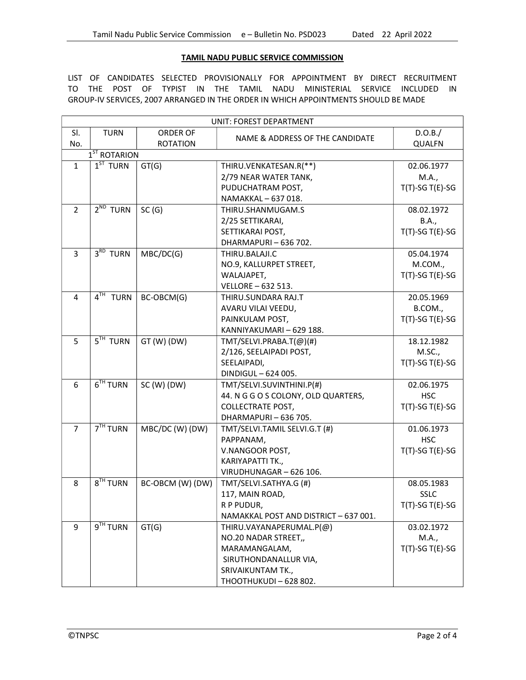## TAMIL NADU PUBLIC SERVICE COMMISSION

LIST OF CANDIDATES SELECTED PROVISIONALLY FOR APPOINTMENT BY DIRECT RECRUITMENT TO THE POST OF TYPIST IN THE TAMIL NADU MINISTERIAL SERVICE INCLUDED IN GROUP-IV SERVICES, 2007 ARRANGED IN THE ORDER IN WHICH APPOINTMENTS SHOULD BE MADE

| UNIT: FOREST DEPARTMENT |                      |                  |                                       |                    |  |  |  |
|-------------------------|----------------------|------------------|---------------------------------------|--------------------|--|--|--|
| SI.                     | <b>TURN</b>          | <b>ORDER OF</b>  |                                       | D.O.B./            |  |  |  |
| No.                     |                      | <b>ROTATION</b>  | NAME & ADDRESS OF THE CANDIDATE       | <b>QUALFN</b>      |  |  |  |
|                         | $1ST$ ROTARION       |                  |                                       |                    |  |  |  |
| $\mathbf{1}$            | $1ST$ TURN           | GT(G)            | THIRU.VENKATESAN.R(**)                | 02.06.1977         |  |  |  |
|                         |                      |                  | 2/79 NEAR WATER TANK,                 | M.A.,              |  |  |  |
|                         |                      |                  | PUDUCHATRAM POST,                     | $T(T)-SGT(E)-SG$   |  |  |  |
|                         |                      |                  | NAMAKKAL - 637 018.                   |                    |  |  |  |
| $\overline{2}$          | $2^{ND}$ TURN        | SC(G)            | THIRU.SHANMUGAM.S                     | 08.02.1972         |  |  |  |
|                         |                      |                  | 2/25 SETTIKARAI,                      | B.A.,              |  |  |  |
|                         |                      |                  | SETTIKARAI POST,                      | $T(T)$ -SG T(E)-SG |  |  |  |
|                         |                      |                  | DHARMAPURI-636 702.                   |                    |  |  |  |
| 3                       | $3RD$ TURN           | MBC/DC(G)        | THIRU.BALAJI.C                        | 05.04.1974         |  |  |  |
|                         |                      |                  | NO.9, KALLURPET STREET,               | M.COM.,            |  |  |  |
|                         |                      |                  | WALAJAPET,                            | $T(T)$ -SG T(E)-SG |  |  |  |
|                         |                      |                  | VELLORE - 632 513.                    |                    |  |  |  |
| $\overline{4}$          | $4TH$ TURN           | BC-OBCM(G)       | THIRU.SUNDARA RAJ.T                   | 20.05.1969         |  |  |  |
|                         |                      |                  | AVARU VILAI VEEDU,                    | B.COM.,            |  |  |  |
|                         |                      |                  | PAINKULAM POST,                       | $T(T)$ -SG T(E)-SG |  |  |  |
|                         |                      |                  | KANNIYAKUMARI - 629 188.              |                    |  |  |  |
| 5                       | $5TH$ TURN           | $GT(W)$ (DW)     | TMT/SELVI.PRABA.T(@)(#)               | 18.12.1982         |  |  |  |
|                         |                      |                  | 2/126, SEELAIPADI POST,               | M.SC.,             |  |  |  |
|                         |                      |                  | SEELAIPADI,                           | $T(T)-SGT(E)-SG$   |  |  |  |
|                         |                      |                  | DINDIGUL - 624 005.                   |                    |  |  |  |
| 6                       | 6 <sup>TH</sup> TURN | $SC(W)$ (DW)     | TMT/SELVI.SUVINTHINI.P(#)             | 02.06.1975         |  |  |  |
|                         |                      |                  | 44. N G G O S COLONY, OLD QUARTERS,   | <b>HSC</b>         |  |  |  |
|                         |                      |                  | <b>COLLECTRATE POST,</b>              | $T(T)$ -SG T(E)-SG |  |  |  |
|                         |                      |                  | DHARMAPURI-636 705.                   |                    |  |  |  |
| $\overline{7}$          | $7TH$ TURN           | MBC/DC (W) (DW)  | TMT/SELVI.TAMIL SELVI.G.T (#)         | 01.06.1973         |  |  |  |
|                         |                      |                  | PAPPANAM,                             | <b>HSC</b>         |  |  |  |
|                         |                      |                  | V.NANGOOR POST,                       | $T(T)-SGT(E)-SG$   |  |  |  |
|                         |                      |                  | KARIYAPATTI TK.,                      |                    |  |  |  |
|                         |                      |                  | VIRUDHUNAGAR - 626 106.               |                    |  |  |  |
| 8                       | 8 <sup>TH</sup> TURN | BC-OBCM (W) (DW) | TMT/SELVI.SATHYA.G (#)                | 08.05.1983         |  |  |  |
|                         |                      |                  | 117, MAIN ROAD,                       | <b>SSLC</b>        |  |  |  |
|                         |                      |                  | R P PUDUR,                            | $T(T)$ -SG T(E)-SG |  |  |  |
|                         |                      |                  | NAMAKKAL POST AND DISTRICT - 637 001. |                    |  |  |  |
| 9                       | 9 <sup>TH</sup> TURN | GT(G)            | THIRU.VAYANAPERUMAL.P(@)              | 03.02.1972         |  |  |  |
|                         |                      |                  |                                       |                    |  |  |  |
|                         |                      |                  | NO.20 NADAR STREET,                   | M.A.,              |  |  |  |
|                         |                      |                  | MARAMANGALAM,                         | $T(T)-SGT(E)-SG$   |  |  |  |
|                         |                      |                  | SIRUTHONDANALLUR VIA,                 |                    |  |  |  |
|                         |                      |                  | SRIVAIKUNTAM TK.,                     |                    |  |  |  |
|                         |                      |                  | THOOTHUKUDI - 628 802.                |                    |  |  |  |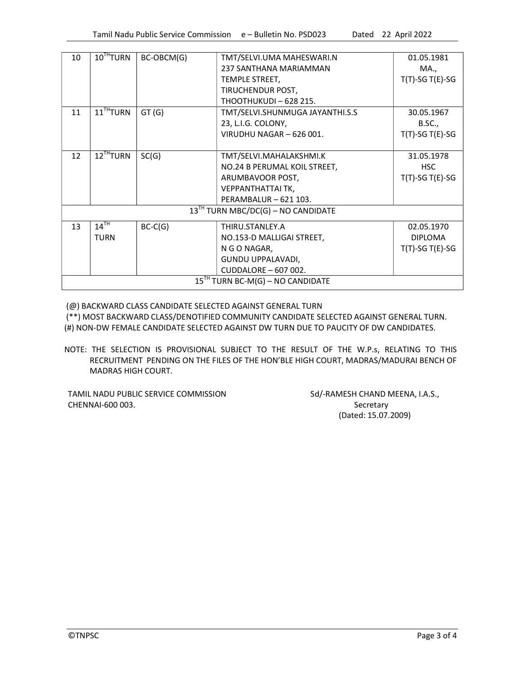| 10                                      | $10^{TH}$ TURN           | BC-OBCM(G) | TMT/SELVI.UMA MAHESWARI.N       | 01.05.1981         |  |  |
|-----------------------------------------|--------------------------|------------|---------------------------------|--------------------|--|--|
|                                         |                          |            | 237 SANTHANA MARIAMMAN          | MA.,               |  |  |
|                                         |                          |            | TEMPLE STREET,                  | $T(T)$ -SG T(E)-SG |  |  |
|                                         |                          |            | TIRUCHENDUR POST,               |                    |  |  |
|                                         |                          |            | <b>THOOTHUKUDI - 628 215.</b>   |                    |  |  |
| 11                                      | $11$ <sup>TH</sup> TURN  | GT(G)      | TMT/SELVI.SHUNMUGA JAYANTHI.S.S | 30.05.1967         |  |  |
|                                         |                          |            | 23, L.I.G. COLONY,              | B.SC.,             |  |  |
|                                         |                          |            | VIRUDHU NAGAR - 626 001.        | $T(T)$ -SG T(E)-SG |  |  |
|                                         |                          |            |                                 |                    |  |  |
| 12                                      | 12 <sup>TH</sup> T U R N | SC(G)      | TMT/SELVI.MAHALAKSHMI.K         | 31.05.1978         |  |  |
|                                         |                          |            | NO.24 B PERUMAL KOIL STREET,    | <b>HSC</b>         |  |  |
|                                         |                          |            | ARUMBAVOOR POST,                | $T(T)$ -SG T(E)-SG |  |  |
|                                         |                          |            | VEPPANTHATTAI TK,               |                    |  |  |
|                                         |                          |            | PERAMBALUR - 621 103.           |                    |  |  |
| $13^{TH}$ TURN MBC/DC(G) – NO CANDIDATE |                          |            |                                 |                    |  |  |
| 13                                      | $14$ <sup>TH</sup>       | $BC-C(G)$  | THIRU.STANLEY.A                 | 02.05.1970         |  |  |
|                                         | <b>TURN</b>              |            | NO.153-D MALLIGAI STREET,       | <b>DIPLOMA</b>     |  |  |
|                                         |                          |            | N G O NAGAR,                    | $T(T)$ -SG T(E)-SG |  |  |
|                                         |                          |            | GUNDU UPPALAVADI,               |                    |  |  |
|                                         |                          |            | CUDDALORE - 607 002.            |                    |  |  |
| $15TH$ TURN BC-M(G) – NO CANDIDATE      |                          |            |                                 |                    |  |  |

(@) BACKWARD CLASS CANDIDATE SELECTED AGAINST GENERAL TURN

 (\*\*) MOST BACKWARD CLASS/DENOTIFIED COMMUNITY CANDIDATE SELECTED AGAINST GENERAL TURN. (#) NON-DW FEMALE CANDIDATE SELECTED AGAINST DW TURN DUE TO PAUCITY OF DW CANDIDATES.

NOTE: THE SELECTION IS PROVISIONAL SUBJECT TO THE RESULT OF THE W.P.s, RELATING TO THIS RECRUITMENT PENDING ON THE FILES OF THE HON'BLE HIGH COURT, MADRAS/MADURAI BENCH OF MADRAS HIGH COURT.

TAMIL NADU PUBLIC SERVICE COMMISSION Sd/-RAMESH CHAND MEENA, I.A.S., CHENNAI-600 003. Secretary

(Dated: 15.07.2009)